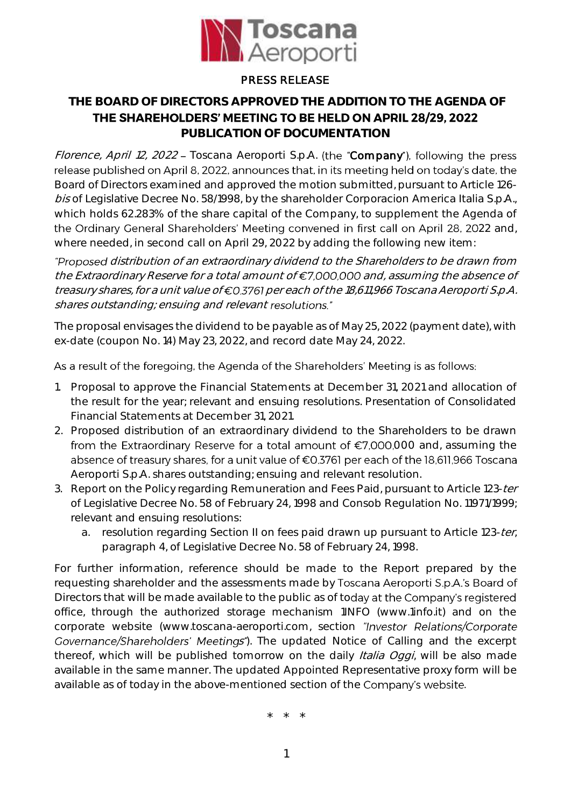

## PRESS RELEASE

## **THE BOARD OF DIRECTORS APPROVED THE ADDITION TO THE AGENDA OF**

THE SHAREHOLDERS' MEETING TO BE HELD ON APRIL 28/29, 2022

**PUBLICATION OF DOCUMENTATION**

Florence, April 12, 2022 - Toscana Aeroporti S.p.A. (the "Company"), following the press release published on April 8, 2022, announces that, in its meeting held on today's date, the Board of Directors examined and approved the motion submitted, pursuant to Article 126 bis of Legislative Decree No. 58/1998, by the shareholder Corporacion America Italia S.p.A., which holds 62.283% of the share capital of the Company, to supplement the Agenda of the Ordinary General Shareholders' Meeting convened in first call on April 28, 2022 and, where needed, in second call on April 29, 2022 by adding the following new item:

"Proposed distribution of an extraordinary dividend to the Shareholders to be drawn from the Extraordinary Reserve for a total amount of  $\epsilon$ 7,000,000 and, assuming the absence of treasury shares, for a unit value of €0.3761 per each of the 18,611,966 Toscana Aeroporti S.p.A. shares outstanding; ensuing and relevant resolutions."

The proposal envisages the dividend to be payable as of May 25, 2022 (payment date), with ex-date (coupon No. 14) May 23, 2022, and record date May 24, 2022.

## As a result of the foregoing, the Agenda of the Shareholders' Meeting is as follows:

- 1. Proposal to approve the Financial Statements at December 31, 2021 and allocation of the result for the year; relevant and ensuing resolutions. Presentation of Consolidated Financial Statements at December 31, 2021.
- 2. Proposed distribution of an extraordinary dividend to the Shareholders to be drawn from the Extraordinary Reserve for a total amount of  $E$ 7,000,000 and, assuming the absence of treasury shares, for a unit value of €0.3761 per each of the 18,611,966 Toscana Aeroporti S.p.A. shares outstanding; ensuing and relevant resolution.
- 3. Report on the Policy regarding Remuneration and Fees Paid, pursuant to Article 123-ter of Legislative Decree No. 58 of February 24, 1998 and Consob Regulation No. 11971/1999; relevant and ensuing resolutions:
	- a. resolution regarding Section II on fees paid drawn up pursuant to Article 123-ter, paragraph 4, of Legislative Decree No. 58 of February 24, 1998.

For further information, reference should be made to the Report prepared by the requesting shareholder and the assessments made by Toscana Aeroporti S.p.A.'s Board of Directors that will be made available to the public as of today at the Company's registered office, through the authorized storage mechanism 1INFO (www.1info.it) and on the corporate website (www.toscana-aeroporti.com, section "Investor Relations/Corporate Governance/Shareholders' Meetings"). The updated Notice of Calling and the excerpt thereof, which will be published tomorrow on the daily *Italia Oggi*, will be also made available in the same manner. The updated Appointed Representative proxy form will be available as of today in the above-mentioned section of the Company's website.

\* \* \*